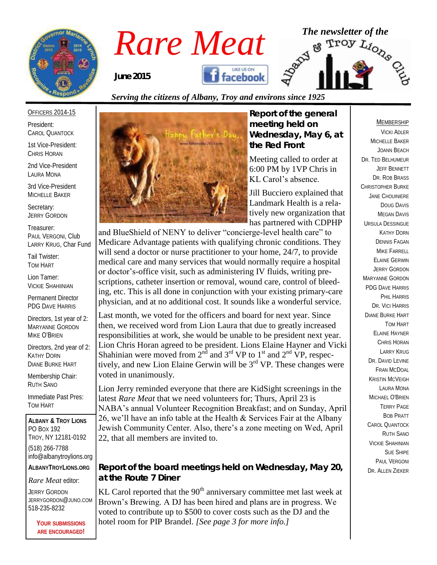

# *Rare Meat* The newsletter of the Rare Meat of the strong of  $R_{\text{line 2015}}$ **facebook** *June 2015*

### *Serving the citizens of Albany, Troy and environs since 1925*

#### OFFICERS 2014-15

President: CAROL QUANTOCK

1st Vice-President: CHRIS HORAN

2nd Vice-President LAURA MONA

3rd Vice-President MICHELLE BAKER

Secretary: JERRY GORDON

Treasurer: PAUL VERGONI, Club LARRY KRUG, Char Fund

Tail Twister: TOM HART

Lion Tamer: VICKIE SHAHIINIAN

Permanent Director PDG DAVE HARRIS

Directors, 1st year of 2: MARYANNE GORDON MIKE O'BRIEN

Directors, 2nd year of 2: KATHY DORN DIANE BURKE HART

Membership Chair: RUTH SANO

Immediate Past Pres: TOM HART

**ALBANY & TROY LIONS** PO BOX 192 TROY, NY 12181-0192 (518) 266-7788 info@albanytroylions.org **ALBANYTROYLIONS.ORG**

*Rare Meat* editor:

JERRY GORDON JERRYGORDON@JUNO.COM 518-235-8232

> **YOUR SUBMISSIONS ARE ENCOURAGED!**



*Report of the general meeting held on Wednesday, May 6, at the Red Front*

Meeting called to order at 6:00 PM by 1VP Chris in KL Carol's absence.

Jill Bucciero explained that Landmark Health is a relatively new organization that has partnered with CDPHP

and BlueShield of NENY to deliver "concierge-level health care" to Medicare Advantage patients with qualifying chronic conditions. They will send a doctor or nurse practitioner to your home, 24/7, to provide medical care and many services that would normally require a hospital or doctor's-office visit, such as administering IV fluids, writing prescriptions, catheter insertion or removal, wound care, control of bleeding, etc. This is all done in conjunction with your existing primary-care physician, and at no additional cost. It sounds like a wonderful service.

Last month, we voted for the officers and board for next year. Since then, we received word from Lion Laura that due to greatly increased responsibilities at work, she would be unable to be president next year. Lion Chris Horan agreed to be president. Lions Elaine Hayner and Vicki Shahinian were moved from  $2<sup>nd</sup>$  and  $3<sup>rd</sup>$  VP to  $1<sup>st</sup>$  and  $2<sup>nd</sup>$  VP, respectively, and new Lion Elaine Gerwin will be  $3<sup>rd</sup>$  VP. These changes were voted in unanimously.

Lion Jerry reminded everyone that there are KidSight screenings in the latest *Rare Meat* that we need volunteers for; Thurs, April 23 is NABA's annual Volunteer Recognition Breakfast; and on Sunday, April 26, we'll have an info table at the Health & Services Fair at the Albany Jewish Community Center. Also, there's a zone meeting on Wed, April 22, that all members are invited to.

*Report of the board meetings held on Wednesday, May 20, at the Route 7 Diner* 

KL Carol reported that the  $90<sup>th</sup>$  anniversary committee met last week at Brown's Brewing. A DJ has been hired and plans are in progress. We voted to contribute up to \$500 to cover costs such as the DJ and the hotel room for PIP Brandel. *[See page 3 for more info.]*

#### MEMBERSHIP

VICKI ADLER MICHELLE BAKER JOANN BEACH DR. TED BELHUMEUR JEFF BENNETT DR. ROB BRASS CHRISTOPHER BURKE JANE CHOUINIERE DOUG DAVIS MEGAN DAVIS URSULA DESSINGUE KATHY DORN DENNIS FAGAN MIKE FARRELL ELAINE GERWIN JERRY GORDON MARYANNE GORDON PDG DAVE HARRIS PHIL HARRIS DR. VICI HARRIS DIANE BURKE HART TOM HART ELAINE HAYNER CHRIS HORAN LARRY KRUG DR. DAVID I FVINE FRAN MCDOAL KRISTIN MCVEIGH LAURA MONA MICHAEL O'BRIEN TERRY PAGE BOB PRATT CAROL QUANTOCK RUTH SANO VICKIE SHAHINIAN SUE SHIPE PAUL VERGONI DR. ALLEN ZIEKER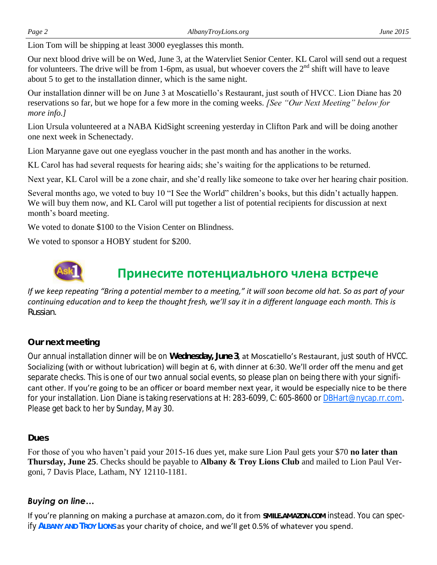Lion Tom will be shipping at least 3000 eyeglasses this month.

Our next blood drive will be on Wed, June 3, at the Watervliet Senior Center. KL Carol will send out a request for volunteers. The drive will be from 1-6pm, as usual, but whoever covers the  $2<sup>nd</sup>$  shift will have to leave about 5 to get to the installation dinner, which is the same night.

Our installation dinner will be on June 3 at Moscatiello's Restaurant, just south of HVCC. Lion Diane has 20 reservations so far, but we hope for a few more in the coming weeks. *[See "Our Next Meeting" below for more info.]*

Lion Ursula volunteered at a NABA KidSight screening yesterday in Clifton Park and will be doing another one next week in Schenectady.

Lion Maryanne gave out one eyeglass voucher in the past month and has another in the works.

KL Carol has had several requests for hearing aids; she's waiting for the applications to be returned.

Next year, KL Carol will be a zone chair, and she'd really like someone to take over her hearing chair position.

Several months ago, we voted to buy 10 "I See the World" children's books, but this didn't actually happen. We will buy them now, and KL Carol will put together a list of potential recipients for discussion at next month's board meeting.

We voted to donate \$100 to the Vision Center on Blindness.

We voted to sponsor a HOBY student for \$200.



## **Принесите потенциального члена встрече**

*If we keep repeating "Bring a potential member to a meeting," it will soon become old hat. So as part of your continuing education and to keep the thought fresh, we'll say it in a different language each month. This is Russian.*

*Our next meeting* 

Our annual installation dinner will be on **Wednesday, June 3**, at Moscatiello's Restaurant, just south of HVCC. Socializing (with or without lubrication) will begin at 6, with dinner at 6:30. We'll order off the menu and get separate checks. This is one of our two annual social events, so please plan on being there with your significant other. If you're going to be an officer or board member next year, it would be especially nice to be there for your installation. Lion Diane is taking reservations at H: 283-6099, C: 605-8600 or [DBHart@nycap.rr.com.](mailto:DBHart@nycap.rr.com) Please get back to her by Sunday, May 30.

#### *Dues*

For those of you who haven't paid your 2015-16 dues yet, make sure Lion Paul gets your \$70 **no later than Thursday, June 25**. Checks should be payable to **Albany & Troy Lions Club** and mailed to Lion Paul Vergoni, 7 Davis Place, Latham, NY 12110-1181.

### *Buying on line…*

If you're planning on making a purchase at amazon.com, do it from **SMILE.AMAZON.COM** instead. You can specify **ALBANY AND TROY LIONS** as your charity of choice, and we'll get 0.5% of whatever you spend.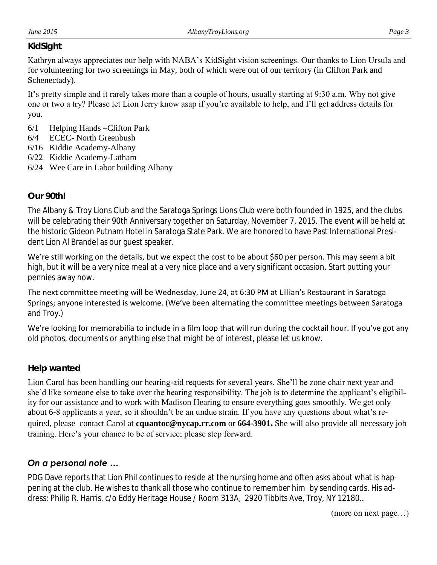#### *KidSight*

Kathryn always appreciates our help with NABA's KidSight vision screenings. Our thanks to Lion Ursula and for volunteering for two screenings in May, both of which were out of our territory (in Clifton Park and Schenectady).

It's pretty simple and it rarely takes more than a couple of hours, usually starting at 9:30 a.m. Why not give one or two a try? Please let Lion Jerry know asap if you're available to help, and I'll get address details for you.

- 6/1 Helping Hands –Clifton Park
- 6/4 ECEC- North Greenbush
- 6/16 Kiddie Academy-Albany
- 6/22 Kiddie Academy-Latham
- 6/24 Wee Care in Labor building Albany

#### *Our 90th!*

The Albany & Troy Lions Club and the Saratoga Springs Lions Club were both founded in 1925, and the clubs will be celebrating their 90th Anniversary together on Saturday, November 7, 2015. The event will be held at the historic Gideon Putnam Hotel in Saratoga State Park. We are honored to have Past International President Lion Al Brandel as our guest speaker.

We're still working on the details, but we expect the cost to be about \$60 per person. This may seem a bit high, but it will be a very nice meal at a very nice place and a very significant occasion. Start putting your pennies away now.

The next committee meeting will be Wednesday, June 24, at 6:30 PM at Lillian's Restaurant in Saratoga Springs; anyone interested is welcome. (We've been alternating the committee meetings between Saratoga and Troy.)

We're looking for memorabilia to include in a film loop that will run during the cocktail hour. If you've got any old photos, documents or anything else that might be of interest, please let us know.

#### *Help wanted*

Lion Carol has been handling our hearing-aid requests for several years. She'll be zone chair next year and she'd like someone else to take over the hearing responsibility. The job is to determine the applicant's eligibility for our assistance and to work with Madison Hearing to ensure everything goes smoothly. We get only about 6-8 applicants a year, so it shouldn't be an undue strain. If you have any questions about what's required, please contact Carol at **cquantoc@nycap.rr.com** or **664-3901.** She will also provide all necessary job training. Here's your chance to be of service; please step forward.

### *On a personal note …*

PDG Dave reports that Lion Phil continues to reside at the nursing home and often asks about what is happening at the club. He wishes to thank all those who continue to remember him by sending cards. His address: Philip R. Harris, c/o Eddy Heritage House / Room 313A, 2920 Tibbits Ave, Troy, NY 12180..

(more on next page…)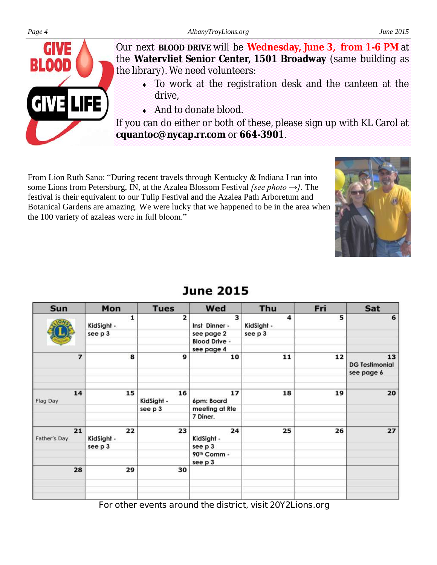

From Lion Ruth Sano: "During recent travels through Kentucky & Indiana I ran into some Lions from Petersburg, IN, at the Azalea Blossom Festival *[see photo →].* The festival is their equivalent to our Tulip Festival and the Azalea Path Arboretum and Botanical Gardens are amazing. We were lucky that we happened to be in the area when the 100 variety of azaleas were in full bloom."



| Sun                      | Mon              | <b>Tues</b>      | Wed                     | Thu             | Fri | Sat                         |
|--------------------------|------------------|------------------|-------------------------|-----------------|-----|-----------------------------|
|                          | 1<br>KidSight -  | 2                | з<br>Inst Dinner -      | 4<br>KidSight - | 5   | 6                           |
|                          | see p 3          |                  | see page 2              | see p 3         |     |                             |
|                          |                  |                  | <b>Blood Drive -</b>    |                 |     |                             |
|                          |                  |                  | see page 4              |                 |     |                             |
| $\overline{\phantom{a}}$ | 8                | 9                | 10                      | 11              | 12  | 13<br><b>DG Testimonial</b> |
|                          |                  |                  |                         |                 |     | see page 6                  |
| 14<br>Flag Day           | 15               | 16<br>KidSight - | 17<br>6pm: Board        | 18              | 19  | 20                          |
|                          |                  | see p 3          | meeting at Rte          |                 |     |                             |
|                          |                  |                  | 7 Diner.                |                 |     |                             |
| 21<br>Father's Day       | 22<br>KidSight - | 23               | 24<br>KidSight -        | 25              | 26  | 27                          |
|                          | see p 3          |                  | see p 3                 |                 |     |                             |
|                          |                  |                  | 90 <sup>th</sup> Comm - |                 |     |                             |
|                          |                  |                  | see p 3                 |                 |     |                             |
| 28                       | 29               | 30               |                         |                 |     |                             |
|                          |                  |                  |                         |                 |     |                             |
|                          |                  |                  |                         |                 |     |                             |

# **June 2015**

**For other events around the district, visit 20Y2Lions.org**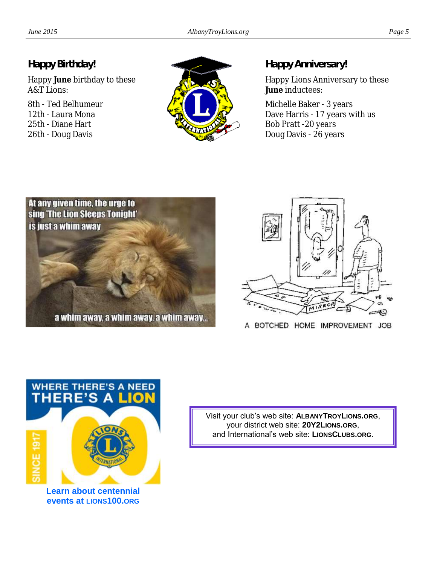## *Happy Birthday!*

Happy **June** birthday to these A&T Lions:

8th - Ted Belhumeur 12th - Laura Mona 25th - Diane Hart 26th - Doug Davis



*Happy Anniversary!*

Happy Lions Anniversary to these **June** inductees:

Michelle Baker - 3 years Dave Harris - 17 years with us Bob Pratt -20 years Doug Davis - 26 years





A BOTCHED HOME IMPROVEMENT JOB



**Learn about centennial events at LIONS100.ORG**

Visit your club's web site: **ALBANYTROYLIONS.ORG**, your district web site: **20Y2LIONS.ORG**, and International's web site: **LIONSCLUBS.ORG**.